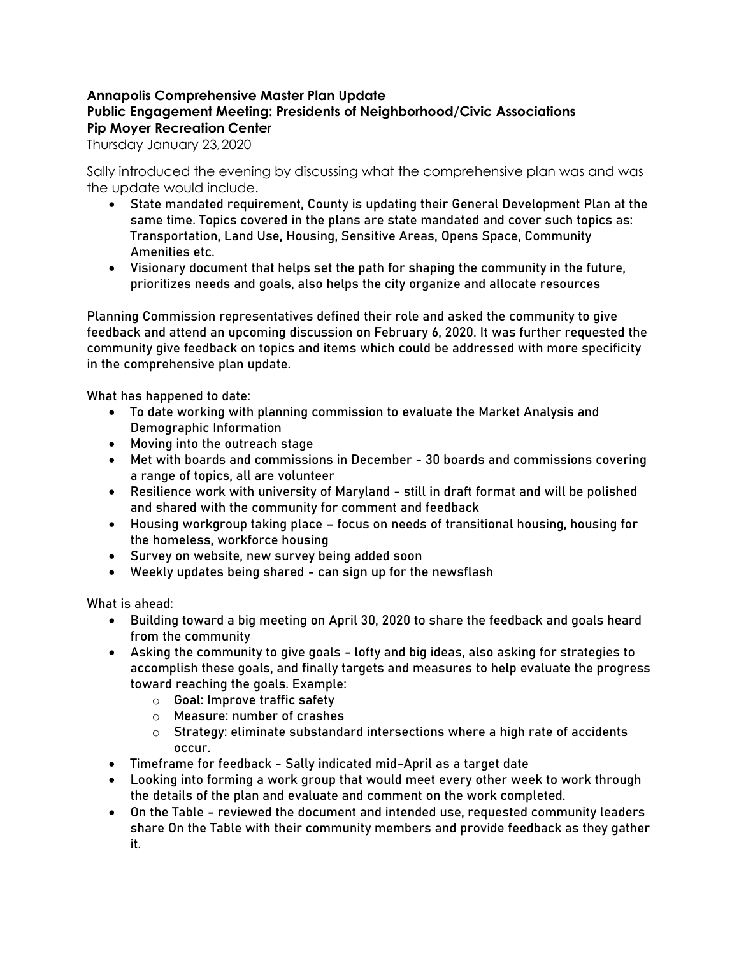# **Annapolis Comprehensive Master Plan Update Public Engagement Meeting: Presidents of Neighborhood/Civic Associations Pip Moyer Recreation Center**

Thursday January 23, 2020

Sally introduced the evening by discussing what the comprehensive plan was and was the update would include.

- State mandated requirement, County is updating their General Development Plan at the same time. Topics covered in the plans are state mandated and cover such topics as: Transportation, Land Use, Housing, Sensitive Areas, Opens Space, Community Amenities etc.
- Visionary document that helps set the path for shaping the community in the future, prioritizes needs and goals, also helps the city organize and allocate resources

Planning Commission representatives defined their role and asked the community to give feedback and attend an upcoming discussion on February 6, 2020. It was further requested the community give feedback on topics and items which could be addressed with more specificity in the comprehensive plan update.

What has happened to date:

- To date working with planning commission to evaluate the Market Analysis and Demographic Information
- Moving into the outreach stage
- Met with boards and commissions in December 30 boards and commissions covering a range of topics, all are volunteer
- Resilience work with university of Maryland still in draft format and will be polished and shared with the community for comment and feedback
- Housing workgroup taking place focus on needs of transitional housing, housing for the homeless, workforce housing
- Survey on website, new survey being added soon
- Weekly updates being shared can sign up for the newsflash

What is ahead:

- Building toward a big meeting on April 30, 2020 to share the feedback and goals heard from the community
- Asking the community to give goals lofty and big ideas, also asking for strategies to accomplish these goals, and finally targets and measures to help evaluate the progress toward reaching the goals. Example:
	- o Goal: Improve traffic safety
	- o Measure: number of crashes
	- $\circ$  Strategy: eliminate substandard intersections where a high rate of accidents occur.
- Timeframe for feedback Sally indicated mid-April as a target date
- Looking into forming a work group that would meet every other week to work through the details of the plan and evaluate and comment on the work completed.
- On the Table reviewed the document and intended use, requested community leaders share On the Table with their community members and provide feedback as they gather it.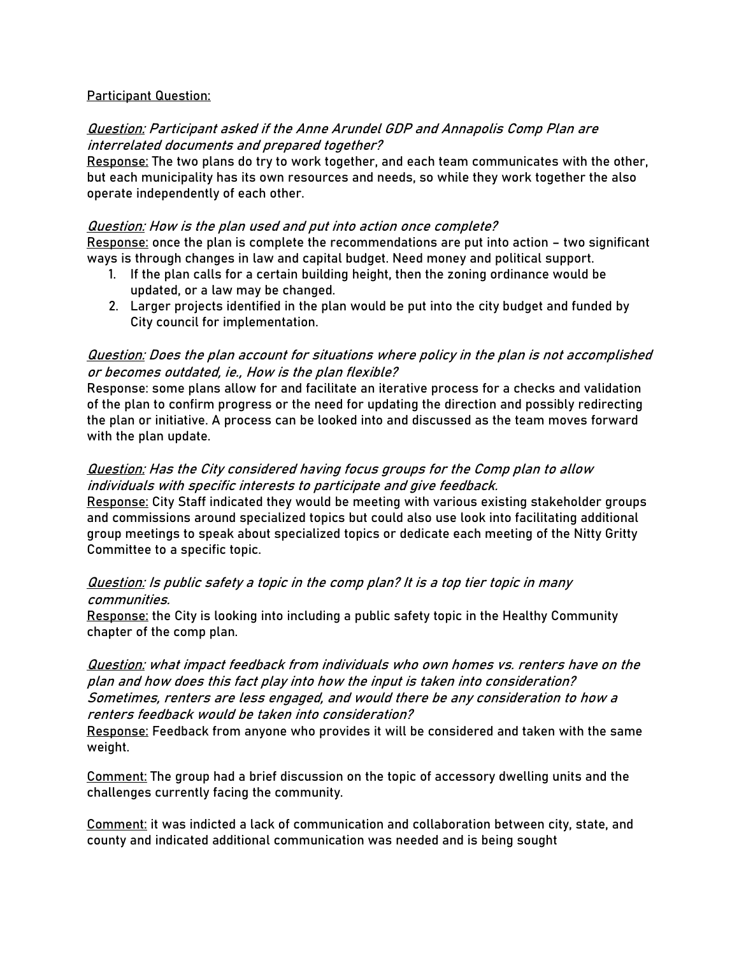### Participant Question:

## Question: Participant asked if the Anne Arundel GDP and Annapolis Comp Plan are interrelated documents and prepared together?

Response: The two plans do try to work together, and each team communicates with the other, but each municipality has its own resources and needs, so while they work together the also operate independently of each other.

#### Question: How is the plan used and put into action once complete?

Response: once the plan is complete the recommendations are put into action – two significant ways is through changes in law and capital budget. Need money and political support.

- 1. If the plan calls for a certain building height, then the zoning ordinance would be updated, or a law may be changed.
- 2. Larger projects identified in the plan would be put into the city budget and funded by City council for implementation.

## Question: Does the plan account for situations where policy in the plan is not accomplished or becomes outdated, ie., How is the plan flexible?

Response: some plans allow for and facilitate an iterative process for a checks and validation of the plan to confirm progress or the need for updating the direction and possibly redirecting the plan or initiative. A process can be looked into and discussed as the team moves forward with the plan update.

# Question: Has the City considered having focus groups for the Comp plan to allow individuals with specific interests to participate and give feedback.

Response: City Staff indicated they would be meeting with various existing stakeholder groups and commissions around specialized topics but could also use look into facilitating additional group meetings to speak about specialized topics or dedicate each meeting of the Nitty Gritty Committee to a specific topic.

### Question: Is public safety a topic in the comp plan? It is a top tier topic in many communities.

Response: the City is looking into including a public safety topic in the Healthy Community chapter of the comp plan.

Question: what impact feedback from individuals who own homes vs. renters have on the plan and how does this fact play into how the input is taken into consideration? Sometimes, renters are less engaged, and would there be any consideration to how a renters feedback would be taken into consideration?

Response: Feedback from anyone who provides it will be considered and taken with the same weight.

Comment: The group had a brief discussion on the topic of accessory dwelling units and the challenges currently facing the community.

Comment: it was indicted a lack of communication and collaboration between city, state, and county and indicated additional communication was needed and is being sought